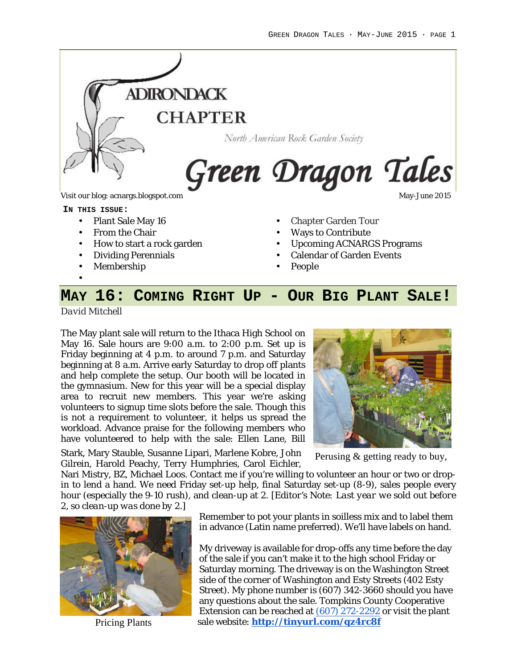

**IN THIS ISSUE:**

- Plant Sale May 16
- From the Chair
- How to start a rock garden
- Dividing Perennials
- Membership
- Chapter Garden Tour
- Ways to Contribute
- Upcoming ACNARGS Programs
- Calendar of Garden Events
- People

## **MAY 16: COMING RIGHT UP - OUR BIG PLANT SALE!**

*David Mitchell*

•

The May plant sale will return to the Ithaca High School on May 16. Sale hours are 9:00 a.m. to 2:00 p.m. Set up is Friday beginning at 4 p.m. to around 7 p.m. and Saturday beginning at 8 a.m. Arrive early Saturday to drop off plants and help complete the setup. Our booth will be located in the gymnasium. New for this year will be a special display area to recruit new members. This year we're asking volunteers to signup time slots before the sale. Though this is not a requirement to volunteer, it helps us spread the workload. Advance praise for the following members who have volunteered to help with the sale: Ellen Lane, Bill



Stark, Mary Stauble, Susanne Lipari, Marlene Kobre, John Gilrein, Harold Peachy, Terry Humphries, Carol Eichler,

Perusing & getting ready to buy,

Gillem, Harold Peachy, Terry Humphries, Caror Eichler,<br>Nari Mistry, BZ, Michael Loos. Contact me if you're willing to volunteer an hour or two or dropin to lend a hand. We need Friday set-up help, final Saturday set-up (8-9), sales people every hour (especially the 9-10 rush), and clean-up at 2. *[Editor's Note: Last year we sold out before 2, so clean-up was done by 2.]*



Remember to pot your plants in soilless mix and to label them in advance (Latin name preferred). We'll have labels on hand.

My driveway is available for drop-offs any time before the day of the sale if you can't make it to the high school Friday or Saturday morning. The driveway is on the Washington Street side of the corner of Washington and Esty Streets (402 Esty Street). My phone number is (607) 342-3660 should you have any questions about the sale. Tompkins County Cooperative Extension can be reached at (607) 272-2292 or visit the plant Pricing Plants sale website: http://tinyurl.com/qz4rc8f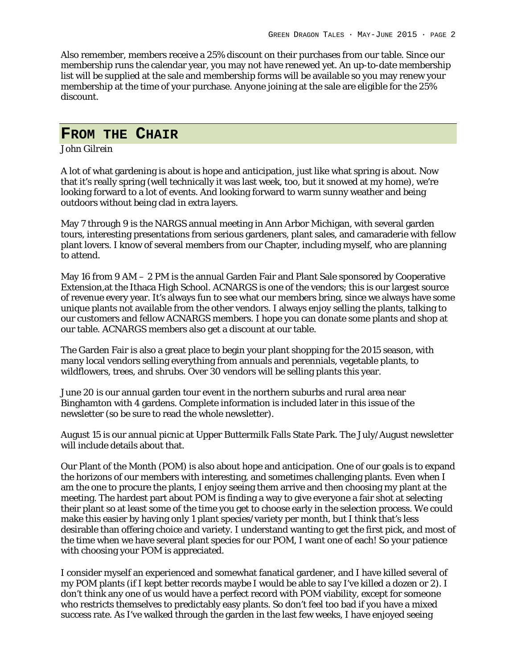Also remember, members receive a 25% discount on their purchases from our table. Since our membership runs the calendar year, you may not have renewed yet. An up-to-date membership list will be supplied at the sale and membership forms will be available so you may renew your membership at the time of your purchase. Anyone joining at the sale are eligible for the 25% discount.

### **FROM THE CHAIR**

#### *John Gilrein*

A lot of what gardening is about is hope and anticipation, just like what spring is about. Now that it's really spring (well technically it was last week, too, but it snowed at my home), we're looking forward to a lot of events. And looking forward to warm sunny weather and being outdoors without being clad in extra layers.

May 7 through 9 is the NARGS annual meeting in Ann Arbor Michigan, with several garden tours, interesting presentations from serious gardeners, plant sales, and camaraderie with fellow plant lovers. I know of several members from our Chapter, including myself, who are planning to attend.

May 16 from 9 AM – 2 PM is the annual Garden Fair and Plant Sale sponsored by Cooperative Extension,at the Ithaca High School. ACNARGS is one of the vendors; this is our largest source of revenue every year. It's always fun to see what our members bring, since we always have some unique plants not available from the other vendors. I always enjoy selling the plants, talking to our customers and fellow ACNARGS members. I hope you can donate some plants and shop at our table. ACNARGS members also get a discount at our table.

The Garden Fair is also a great place to begin your plant shopping for the 2015 season, with many local vendors selling everything from annuals and perennials, vegetable plants, to wildflowers, trees, and shrubs. Over 30 vendors will be selling plants this year.

June 20 is our annual garden tour event in the northern suburbs and rural area near Binghamton with 4 gardens. Complete information is included later in this issue of the newsletter (so be sure to read the whole newsletter).

August 15 is our annual picnic at Upper Buttermilk Falls State Park. The July/August newsletter will include details about that.

Our Plant of the Month (POM) is also about hope and anticipation. One of our goals is to expand the horizons of our members with interesting, and sometimes challenging plants. Even when I am the one to procure the plants, I enjoy seeing them arrive and then choosing my plant at the meeting. The hardest part about POM is finding a way to give everyone a fair shot at selecting their plant so at least some of the time you get to choose early in the selection process. We could make this easier by having only 1 plant species/variety per month, but I think that's less desirable than offering choice and variety. I understand wanting to get the first pick, and most of the time when we have several plant species for our POM, I want one of each! So your patience with choosing your POM is appreciated.

I consider myself an experienced and somewhat fanatical gardener, and I have killed several of my POM plants (if I kept better records maybe I would be able to say I've killed a dozen or 2). I don't think any one of us would have a perfect record with POM viability, except for someone who restricts themselves to predictably easy plants. So don't feel too bad if you have a mixed success rate. As I've walked through the garden in the last few weeks, I have enjoyed seeing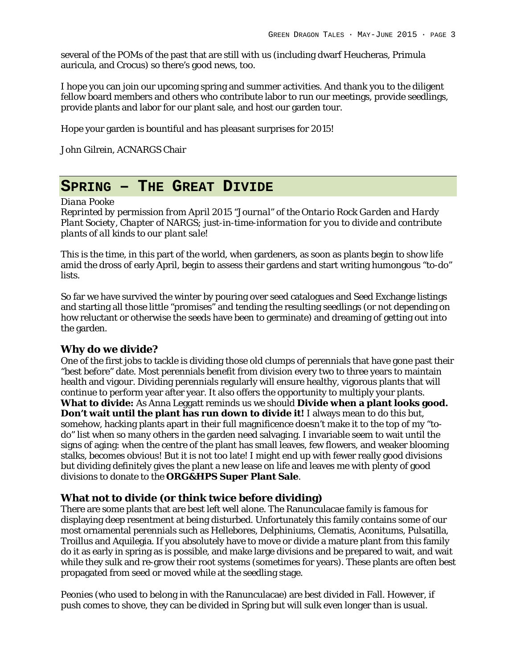several of the POMs of the past that are still with us (including dwarf Heucheras, Primula auricula, and Crocus) so there's good news, too.

I hope you can join our upcoming spring and summer activities. And thank you to the diligent fellow board members and others who contribute labor to run our meetings, provide seedlings, provide plants and labor for our plant sale, and host our garden tour.

Hope your garden is bountiful and has pleasant surprises for 2015!

John Gilrein, ACNARGS Chair

### **SPRING – THE GREAT DIVIDE**

#### *Diana Pooke*

*Reprinted by permission from April 2015 "Journal" of the Ontario Rock Garden and Hardy Plant Society, Chapter of NARGS; just-in-time-information for you to divide and contribute plants of all kinds to our plant sale!*

This is the time, in this part of the world, when gardeners, as soon as plants begin to show life amid the dross of early April, begin to assess their gardens and start writing humongous "to-do" lists.

So far we have survived the winter by pouring over seed catalogues and Seed Exchange listings and starting all those little "promises" and tending the resulting seedlings (or not depending on how reluctant or otherwise the seeds have been to germinate) and dreaming of getting out into the garden.

#### **Why do we divide?**

One of the first jobs to tackle is dividing those old clumps of perennials that have gone past their "best before" date. Most perennials benefit from division every two to three years to maintain health and vigour. Dividing perennials regularly will ensure healthy, vigorous plants that will continue to perform year after year. It also offers the opportunity to multiply your plants. **What to divide:** As Anna Leggatt reminds us we should **Divide when a plant looks good. Don't wait until the plant has run down to divide it!** I always mean to do this but, somehow, hacking plants apart in their full magnificence doesn't make it to the top of my "todo" list when so many others in the garden need salvaging. I invariable seem to wait until the signs of aging: when the centre of the plant has small leaves, few flowers, and weaker blooming stalks, becomes obvious! But it is not too late! I might end up with fewer really good divisions but dividing definitely gives the plant a new lease on life and leaves me with plenty of good divisions to donate to the **ORG&HPS Super Plant Sale**.

#### **What not to divide (or think twice before dividing)**

There are some plants that are best left well alone. The Ranunculacae family is famous for displaying deep resentment at being disturbed. Unfortunately this family contains some of our most ornamental perennials such as Hellebores, Delphiniums, Clematis, Aconitums, Pulsatilla, Troillus and Aquilegia. If you absolutely have to move or divide a mature plant from this family do it as early in spring as is possible, and make large divisions and be prepared to wait, and wait while they sulk and re-grow their root systems (sometimes for years). These plants are often best propagated from seed or moved while at the seedling stage.

Peonies (who used to belong in with the Ranunculacae) are best divided in Fall. However, if push comes to shove, they can be divided in Spring but will sulk even longer than is usual.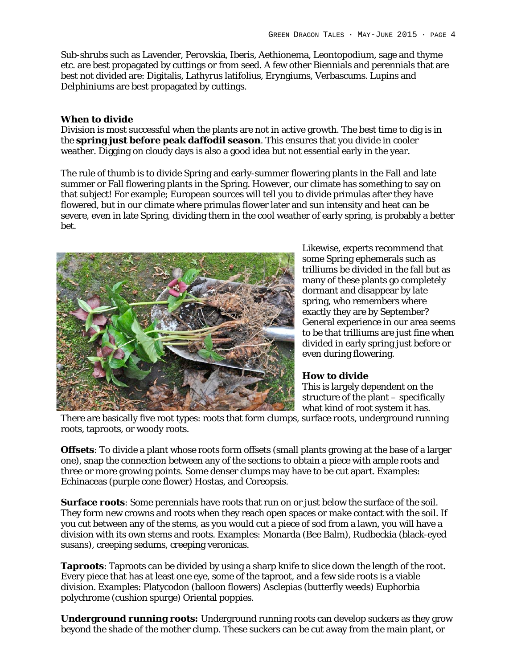Sub-shrubs such as Lavender, Perovskia, Iberis, Aethionema, Leontopodium, sage and thyme etc. are best propagated by cuttings or from seed. A few other Biennials and perennials that are best not divided are: Digitalis, Lathyrus latifolius, Eryngiums, Verbascums. Lupins and Delphiniums are best propagated by cuttings.

#### **When to divide**

Division is most successful when the plants are not in active growth. The best time to dig is in the **spring just before peak daffodil season**. This ensures that you divide in cooler weather. Digging on cloudy days is also a good idea but not essential early in the year.

The rule of thumb is to divide Spring and early-summer flowering plants in the Fall and late summer or Fall flowering plants in the Spring. However, our climate has something to say on that subject! For example; European sources will tell you to divide primulas after they have flowered, but in our climate where primulas flower later and sun intensity and heat can be severe, even in late Spring, dividing them in the cool weather of early spring, is probably a better bet.



Likewise, experts recommend that some Spring ephemerals such as trilliums be divided in the fall but as many of these plants go completely dormant and disappear by late spring, who remembers where exactly they are by September? General experience in our area seems to be that trilliums are just fine when divided in early spring just before or even during flowering.

**How to divide** This is largely dependent on the structure of the plant – specifically

what kind of root system it has. There are basically five root types: roots that form clumps, surface roots, underground running roots, taproots, or woody roots.

**Offsets**: To divide a plant whose roots form offsets (small plants growing at the base of a larger one), snap the connection between any of the sections to obtain a piece with ample roots and three or more growing points. Some denser clumps may have to be cut apart. Examples: Echinaceas (purple cone flower) Hostas, and Coreopsis.

**Surface roots**: Some perennials have roots that run on or just below the surface of the soil. They form new crowns and roots when they reach open spaces or make contact with the soil. If you cut between any of the stems, as you would cut a piece of sod from a lawn, you will have a division with its own stems and roots. Examples: Monarda (Bee Balm), Rudbeckia (black-eyed susans), creeping sedums, creeping veronicas.

**Taproots**: Taproots can be divided by using a sharp knife to slice down the length of the root. Every piece that has at least one eye, some of the taproot, and a few side roots is a viable division. Examples: Platycodon (balloon flowers) Asclepias (butterfly weeds) Euphorbia polychrome (cushion spurge) Oriental poppies.

**Underground running roots:** Underground running roots can develop suckers as they grow beyond the shade of the mother clump. These suckers can be cut away from the main plant, or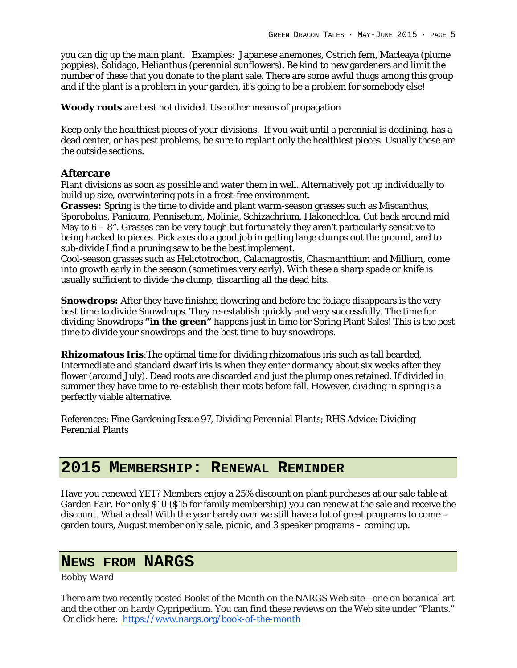you can dig up the main plant. Examples: Japanese anemones, Ostrich fern, Macleaya (plume poppies), Solidago, Helianthus (perennial sunflowers). Be kind to new gardeners and limit the number of these that you donate to the plant sale. There are some awful thugs among this group and if the plant is a problem in your garden, it's going to be a problem for somebody else!

**Woody roots** are best not divided. Use other means of propagation

Keep only the healthiest pieces of your divisions. If you wait until a perennial is declining, has a dead center, or has pest problems, be sure to replant only the healthiest pieces. Usually these are the outside sections.

#### **Aftercare**

Plant divisions as soon as possible and water them in well. Alternatively pot up individually to build up size, overwintering pots in a frost-free environment.

**Grasses:** Spring is the time to divide and plant warm-season grasses such as Miscanthus, Sporobolus, Panicum, Pennisetum, Molinia, Schizachrium, Hakonechloa. Cut back around mid May to  $6 - 8$ ". Grasses can be very tough but fortunately they aren't particularly sensitive to being hacked to pieces. Pick axes do a good job in getting large clumps out the ground, and to sub-divide I find a pruning saw to be the best implement.

Cool-season grasses such as Helictotrochon, Calamagrostis, Chasmanthium and Millium, come into growth early in the season (sometimes very early). With these a sharp spade or knife is usually sufficient to divide the clump, discarding all the dead bits.

**Snowdrops:** After they have finished flowering and before the foliage disappears is the very best time to divide Snowdrops. They re-establish quickly and very successfully. The time for dividing Snowdrops **"in the green"** happens just in time for Spring Plant Sales! This is the best time to divide your snowdrops and the best time to buy snowdrops.

**Rhizomatous Iris**:The optimal time for dividing rhizomatous iris such as tall bearded, Intermediate and standard dwarf iris is when they enter dormancy about six weeks after they flower (around July). Dead roots are discarded and just the plump ones retained. If divided in summer they have time to re-establish their roots before fall. However, dividing in spring is a perfectly viable alternative.

References: Fine Gardening Issue 97, Dividing Perennial Plants; RHS Advice: Dividing Perennial Plants

## **2015 MEMBERSHIP: RENEWAL REMINDER**

Have you renewed YET? Members enjoy a 25% discount on plant purchases at our sale table at Garden Fair. For only \$10 (\$15 for family membership) you can renew at the sale and receive the discount. What a deal! With the year barely over we still have a lot of great programs to come – garden tours, August member only sale, picnic, and 3 speaker programs – coming up.

## **NEWS FROM NARGS**

#### *Bobby Ward*

There are two recently posted Books of the Month on the NARGS Web site—one on botanical art and the other on hardy Cypripedium. You can find these reviews on the Web site under "Plants." Or click here: https://www.nargs.org/book-of-the-month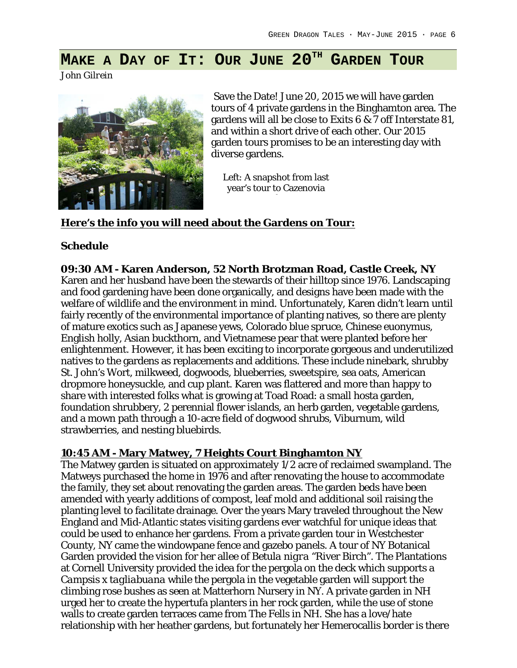# **MAKE A DAY OF IT: OUR JUNE 20TH GARDEN TOUR**

*John Gilrein*



Save the Date! June 20, 2015 we will have garden tours of 4 private gardens in the Binghamton area. The gardens will all be close to Exits 6 & 7 off Interstate 81, and within a short drive of each other. Our 2015 garden tours promises to be an interesting day with diverse gardens.

Left: A snapshot from last year's tour to Cazenovia

#### **Here's the info you will need about the Gardens on Tour:**

#### **Schedule**

**09:30 AM - Karen Anderson, 52 North Brotzman Road, Castle Creek, NY** Karen and her husband have been the stewards of their hilltop since 1976. Landscaping and food gardening have been done organically, and designs have been made with the welfare of wildlife and the environment in mind. Unfortunately, Karen didn't learn until fairly recently of the environmental importance of planting natives, so there are plenty of mature exotics such as Japanese yews, Colorado blue spruce, Chinese euonymus, English holly, Asian buckthorn, and Vietnamese pear that were planted before her enlightenment. However, it has been exciting to incorporate gorgeous and underutilized natives to the gardens as replacements and additions. These include ninebark, shrubby St. John's Wort, milkweed, dogwoods, blueberries, sweetspire, sea oats, American dropmore honeysuckle, and cup plant. Karen was flattered and more than happy to share with interested folks what is growing at Toad Road: a small hosta garden, foundation shrubbery, 2 perennial flower islands, an herb garden, vegetable gardens, and a mown path through a 10-acre field of dogwood shrubs, Viburnum, wild strawberries, and nesting bluebirds.

#### **10:45 AM - Mary Matwey, 7 Heights Court Binghamton NY**

The Matwey garden is situated on approximately 1/2 acre of reclaimed swampland. The Matweys purchased the home in 1976 and after renovating the house to accommodate the family, they set about renovating the garden areas. The garden beds have been amended with yearly additions of compost, leaf mold and additional soil raising the planting level to facilitate drainage. Over the years Mary traveled throughout the New England and Mid-Atlantic states visiting gardens ever watchful for unique ideas that could be used to enhance her gardens. From a private garden tour in Westchester County, NY came the windowpane fence and gazebo panels. A tour of NY Botanical Garden provided the vision for her allee of *Betula nigra* "River Birch". The Plantations at Cornell University provided the idea for the pergola on the deck which supports a *Campsis x tagliabuana* while the pergola in the vegetable garden will support the climbing rose bushes as seen at Matterhorn Nursery in NY. A private garden in NH urged her to create the hypertufa planters in her rock garden, while the use of stone walls to create garden terraces came from The Fells in NH. She has a love/hate relationship with her heather gardens, but fortunately her Hemerocallis border is there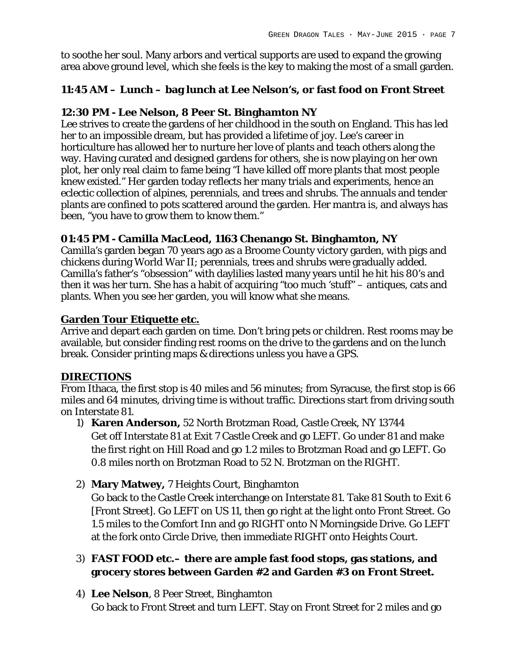to soothe her soul. Many arbors and vertical supports are used to expand the growing area above ground level, which she feels is the key to making the most of a small garden.

### **11:45 AM – Lunch – bag lunch at Lee Nelson's, or fast food on Front Street**

### **12:30 PM - Lee Nelson, 8 Peer St. Binghamton NY**

Lee strives to create the gardens of her childhood in the south on England. This has led her to an impossible dream, but has provided a lifetime of joy. Lee's career in horticulture has allowed her to nurture her love of plants and teach others along the way. Having curated and designed gardens for others, she is now playing on her own plot, her only real claim to fame being "I have killed off more plants that most people knew existed." Her garden today reflects her many trials and experiments, hence an eclectic collection of alpines, perennials, and trees and shrubs. The annuals and tender plants are confined to pots scattered around the garden. Her mantra is, and always has been, "you have to grow them to know them."

**01:45 PM - Camilla MacLeod, 1163 Chenango St. Binghamton, NY** Camilla's garden began 70 years ago as a Broome County victory garden, with pigs and chickens during World War II; perennials, trees and shrubs were gradually added. Camilla's father's "obsession" with daylilies lasted many years until he hit his 80's and then it was her turn. She has a habit of acquiring "too much 'stuff" – antiques, cats and plants. When you see her garden, you will know what she means.

### **Garden Tour Etiquette etc.**

Arrive and depart each garden on time. Don't bring pets or children. Rest rooms may be available, but consider finding rest rooms on the drive to the gardens and on the lunch break. Consider printing maps & directions unless you have a GPS.

### **DIRECTIONS**

From Ithaca, the first stop is 40 miles and 56 minutes; from Syracuse, the first stop is 66 miles and 64 minutes, driving time is without traffic. Directions start from driving south on Interstate 81.

- 1) **Karen Anderson,** 52 North Brotzman Road, Castle Creek, NY 13744 Get off Interstate 81 at Exit 7 Castle Creek and go LEFT. Go under 81 and make the first right on Hill Road and go 1.2 miles to Brotzman Road and go LEFT. Go 0.8 miles north on Brotzman Road to 52 N. Brotzman on the RIGHT.
- 2) **Mary Matwey,** 7 Heights Court, Binghamton

Go back to the Castle Creek interchange on Interstate 81. Take 81 South to Exit 6 [Front Street]. Go LEFT on US 11, then go right at the light onto Front Street. Go 1.5 miles to the Comfort Inn and go RIGHT onto N Morningside Drive. Go LEFT at the fork onto Circle Drive, then immediate RIGHT onto Heights Court.

- 3) **FAST FOOD etc.– there are ample fast food stops, gas stations, and grocery stores between Garden #2 and Garden #3 on Front Street.**
- 4) **Lee Nelson**, 8 Peer Street, Binghamton Go back to Front Street and turn LEFT. Stay on Front Street for 2 miles and go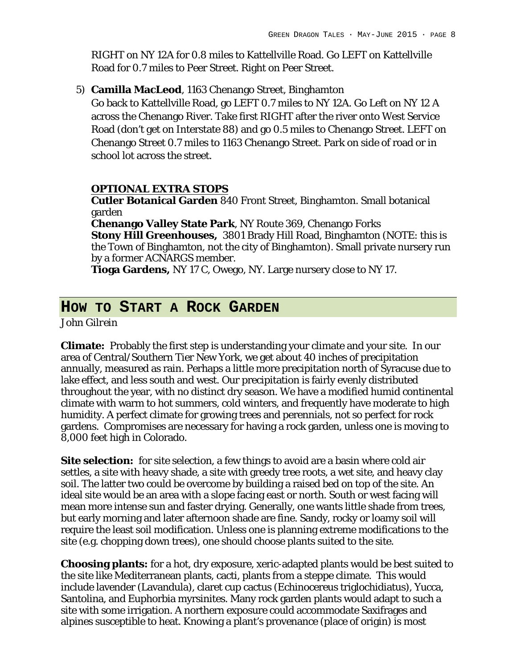RIGHT on NY 12A for 0.8 miles to Kattellville Road. Go LEFT on Kattellville Road for 0.7 miles to Peer Street. Right on Peer Street.

5) **Camilla MacLeod**, 1163 Chenango Street, Binghamton

Go back to Kattellville Road, go LEFT 0.7 miles to NY 12A. Go Left on NY 12 A across the Chenango River. Take first RIGHT after the river onto West Service Road (don't get on Interstate 88) and go 0.5 miles to Chenango Street. LEFT on Chenango Street 0.7 miles to 1163 Chenango Street. Park on side of road or in school lot across the street.

#### **OPTIONAL EXTRA STOPS**

**Cutler Botanical Garden** 840 Front Street, Binghamton. Small botanical garden

**Chenango Valley State Park**, NY Route 369, Chenango Forks **Stony Hill Greenhouses,** 3801 Brady Hill Road, Binghamton (NOTE: this is the Town of Binghamton, not the city of Binghamton). Small private nursery run by a former ACNARGS member.

**Tioga Gardens,** NY 17 C, Owego, NY. Large nursery close to NY 17.

## **HOW TO START A ROCK GARDEN**

*John Gilrein*

**Climate:** Probably the first step is understanding your climate and your site. In our area of Central/Southern Tier New York, we get about 40 inches of precipitation annually, measured as rain. Perhaps a little more precipitation north of Syracuse due to lake effect, and less south and west. Our precipitation is fairly evenly distributed throughout the year, with no distinct dry season. We have a modified humid continental climate with warm to hot summers, cold winters, and frequently have moderate to high humidity. A perfect climate for growing trees and perennials, not so perfect for rock gardens. Compromises are necessary for having a rock garden, unless one is moving to 8,000 feet high in Colorado.

**Site selection:** for site selection, a few things to avoid are a basin where cold air settles, a site with heavy shade, a site with greedy tree roots, a wet site, and heavy clay soil. The latter two could be overcome by building a raised bed on top of the site. An ideal site would be an area with a slope facing east or north. South or west facing will mean more intense sun and faster drying. Generally, one wants little shade from trees, but early morning and later afternoon shade are fine. Sandy, rocky or loamy soil will require the least soil modification. Unless one is planning extreme modifications to the site (e.g. chopping down trees), one should choose plants suited to the site.

**Choosing plants:** for a hot, dry exposure, xeric-adapted plants would be best suited to the site like Mediterranean plants, cacti, plants from a steppe climate. This would include lavender (Lavandula), claret cup cactus (Echinocereus triglochidiatus), Yucca, Santolina, and Euphorbia myrsinites. Many rock garden plants would adapt to such a site with some irrigation. A northern exposure could accommodate Saxifrages and alpines susceptible to heat. Knowing a plant's provenance (place of origin) is most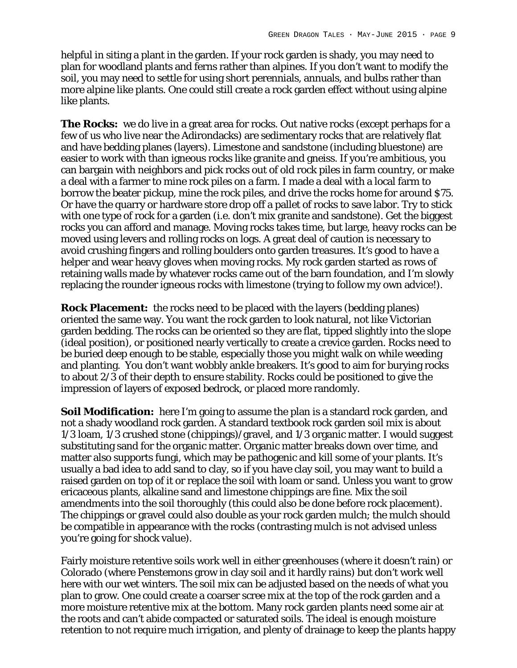helpful in siting a plant in the garden. If your rock garden is shady, you may need to plan for woodland plants and ferns rather than alpines. If you don't want to modify the soil, you may need to settle for using short perennials, annuals, and bulbs rather than more alpine like plants. One could still create a rock garden effect without using alpine like plants.

**The Rocks:** we do live in a great area for rocks. Out native rocks (except perhaps for a few of us who live near the Adirondacks) are sedimentary rocks that are relatively flat and have bedding planes (layers). Limestone and sandstone (including bluestone) are easier to work with than igneous rocks like granite and gneiss. If you're ambitious, you can bargain with neighbors and pick rocks out of old rock piles in farm country, or make a deal with a farmer to mine rock piles on a farm. I made a deal with a local farm to borrow the beater pickup, mine the rock piles, and drive the rocks home for around \$75. Or have the quarry or hardware store drop off a pallet of rocks to save labor. Try to stick with one type of rock for a garden (i.e. don't mix granite and sandstone). Get the biggest rocks you can afford and manage. Moving rocks takes time, but large, heavy rocks can be moved using levers and rolling rocks on logs. A great deal of caution is necessary to avoid crushing fingers and rolling boulders onto garden treasures. It's good to have a helper and wear heavy gloves when moving rocks. My rock garden started as rows of retaining walls made by whatever rocks came out of the barn foundation, and I'm slowly replacing the rounder igneous rocks with limestone (trying to follow my own advice!).

**Rock Placement:** the rocks need to be placed with the layers (bedding planes) oriented the same way. You want the rock garden to look natural, not like Victorian garden bedding. The rocks can be oriented so they are flat, tipped slightly into the slope (ideal position), or positioned nearly vertically to create a crevice garden. Rocks need to be buried deep enough to be stable, especially those you might walk on while weeding and planting. You don't want wobbly ankle breakers. It's good to aim for burying rocks to about 2/3 of their depth to ensure stability. Rocks could be positioned to give the impression of layers of exposed bedrock, or placed more randomly.

**Soil Modification:** here I'm going to assume the plan is a standard rock garden, and not a shady woodland rock garden. A standard textbook rock garden soil mix is about 1/3 loam, 1/3 crushed stone (chippings)/gravel, and 1/3 organic matter. I would suggest substituting sand for the organic matter. Organic matter breaks down over time, and matter also supports fungi, which may be pathogenic and kill some of your plants. It's usually a bad idea to add sand to clay, so if you have clay soil, you may want to build a raised garden on top of it or replace the soil with loam or sand. Unless you want to grow ericaceous plants, alkaline sand and limestone chippings are fine. Mix the soil amendments into the soil thoroughly (this could also be done before rock placement). The chippings or gravel could also double as your rock garden mulch; the mulch should be compatible in appearance with the rocks (contrasting mulch is not advised unless you're going for shock value).

Fairly moisture retentive soils work well in either greenhouses (where it doesn't rain) or Colorado (where Penstemons grow in clay soil and it hardly rains) but don't work well here with our wet winters. The soil mix can be adjusted based on the needs of what you plan to grow. One could create a coarser scree mix at the top of the rock garden and a more moisture retentive mix at the bottom. Many rock garden plants need some air at the roots and can't abide compacted or saturated soils. The ideal is enough moisture retention to not require much irrigation, and plenty of drainage to keep the plants happy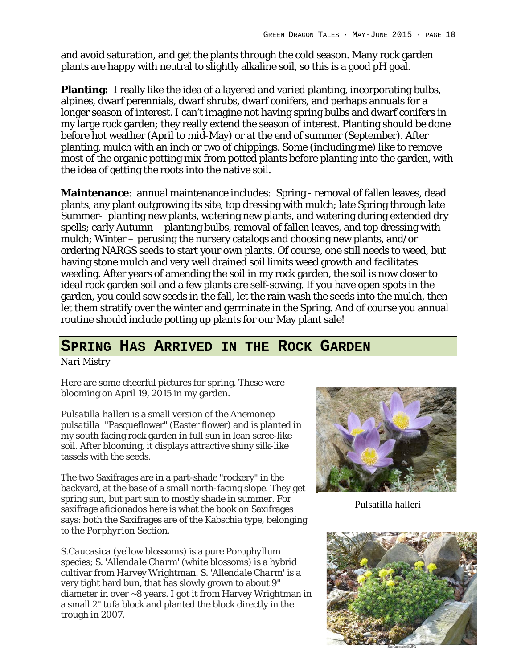and avoid saturation, and get the plants through the cold season. Many rock garden plants are happy with neutral to slightly alkaline soil, so this is a good pH goal.

**Planting:** I really like the idea of a layered and varied planting, incorporating bulbs, alpines, dwarf perennials, dwarf shrubs, dwarf conifers, and perhaps annuals for a longer season of interest. I can't imagine not having spring bulbs and dwarf conifers in my large rock garden; they really extend the season of interest. Planting should be done before hot weather (April to mid-May) or at the end of summer (September). After planting, mulch with an inch or two of chippings. Some (including me) like to remove most of the organic potting mix from potted plants before planting into the garden, with the idea of getting the roots into the native soil.

**Maintenance**: annual maintenance includes: Spring - removal of fallen leaves, dead plants, any plant outgrowing its site, top dressing with mulch; late Spring through late Summer- planting new plants, watering new plants, and watering during extended dry spells; early Autumn – planting bulbs, removal of fallen leaves, and top dressing with mulch; Winter – perusing the nursery catalogs and choosing new plants, and/or ordering NARGS seeds to start your own plants. Of course, one still needs to weed, but having stone mulch and very well drained soil limits weed growth and facilitates weeding. After years of amending the soil in my rock garden, the soil is now closer to ideal rock garden soil and a few plants are self-sowing. If you have open spots in the garden, you could sow seeds in the fall, let the rain wash the seeds into the mulch, then let them stratify over the winter and germinate in the Spring. And of course you annual routine should include potting up plants for our May plant sale!

## **SPRING HAS ARRIVED IN THE ROCK GARDEN**

*Nari Mistry*

Here are some cheerful pictures for spring. These were blooming on April 19, 2015 in my garden.

*Pulsatilla halleri* is a small version of the *Anemonep pulsatilla* "Pasqueflower" (Easter flower) and is planted in my south facing rock garden in full sun in lean scree-like soil. After blooming, it displays attractive shiny silk-like tassels with the seeds.

The two Saxifrages are in a part-shade "rockery" in the backyard, at the base of a small north-facing slope. They get spring sun, but part sun to mostly shade in summer. For saxifrage aficionado*s* here is what the book on Saxifrages says: both the Saxifrages are of the Kabschia type, belonging to the *Porphyrion* Section.

*S.Caucasica* (yellow blossoms) is a pure *Porophyllum* species; *S. 'Allendale Charm'* (white blossoms) is a hybrid cultivar from Harvey Wrightman. *S. 'Allendale Charm'* is a very tight hard bun, that has slowly grown to about 9" diameter in over ~8 years. I got it from Harvey Wrightman in a small 2" tufa block and planted the block directly in the trough in 2007.



Pulsatilla halleri

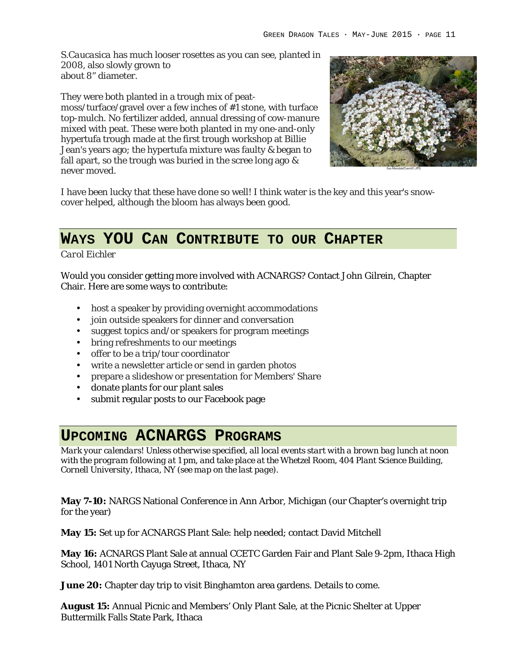*S.Caucasica* has much looser rosettes as you can see, planted in 2008, also slowly grown to about 8" diameter.

They were both planted in a trough mix of peatmoss/turface/gravel over a few inches of #1 stone, with turface top-mulch. No fertilizer added, annual dressing of cow-manure mixed with peat. These were both planted in my one-and-only hypertufa trough made at the first trough workshop at Billie Jean's years ago; the hypertufa mixture was faulty & began to fall apart, so the trough was buried in the scree long ago & never moved.



I have been lucky that these have done so well! I think water is the key and this year's snowcover helped, although the bloom has always been good.

# **WAYS YOU CAN CONTRIBUTE TO OUR CHAPTER**

*Carol Eichler*

Would you consider getting more involved with ACNARGS? Contact John Gilrein, Chapter Chair. Here are some ways to contribute:

- host a speaker by providing overnight accommodations
- join outside speakers for dinner and conversation
- suggest topics and/or speakers for program meetings
- bring refreshments to our meetings
- offer to be a trip/tour coordinator
- write a newsletter article or send in garden photos
- prepare a slideshow or presentation for Members' Share
- donate plants for our plant sales
- submit regular posts to our Facebook page

## **UPCOMING ACNARGS PROGRAMS**

*Mark your calendars! Unless otherwise specified, all local events start with a brown bag lunch at noon with the program following at 1 pm, and take place at the Whetzel Room, 404 Plant Science Building, Cornell University, Ithaca, NY (see map on the last page).*

**May 7-10:** NARGS National Conference in Ann Arbor, Michigan (our Chapter's overnight trip for the year)

**May 15:** Set up for ACNARGS Plant Sale: help needed; contact David Mitchell

**May 16:** ACNARGS Plant Sale at annual CCETC Garden Fair and Plant Sale 9-2pm, Ithaca High School, 1401 North Cayuga Street, Ithaca, NY

**June 20:** Chapter day trip to visit Binghamton area gardens. Details to come.

**August 15:** Annual Picnic and Members' Only Plant Sale, at the Picnic Shelter at Upper Buttermilk Falls State Park, Ithaca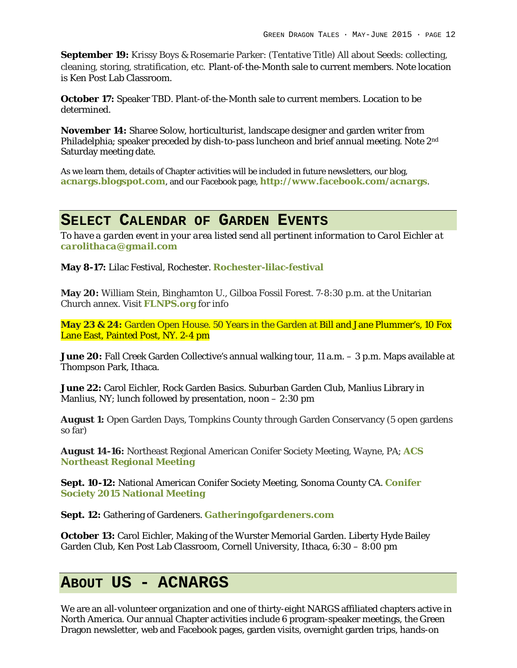**September 19:** Krissy Boys & Rosemarie Parker: (Tentative Title) All about Seeds: collecting, cleaning, storing, stratification, etc. Plant-of-the-Month sale to current members. Note location is Ken Post Lab Classroom.

**October 17:** Speaker TBD. Plant-of-the-Month sale to current members. Location to be determined.

**November 14:** Sharee Solow, horticulturist, landscape designer and garden writer from Philadelphia; speaker preceded by dish-to-pass luncheon and brief annual meeting. Note 2<sup>nd</sup> Saturday meeting date.

As we learn them, details of Chapter activities will be included in future newsletters, our blog, **acnargs.blogspot.com**, and our Facebook page, **http://www.facebook.com/acnargs**.

## **SELECT CALENDAR OF GARDEN EVENTS**

*To have a garden event in your area listed send all pertinent information to Carol Eichler at carolithaca@gmail.com*

**May 8-17:** Lilac Festival, Rochester. **Rochester-lilac-festival**

**May 20:** William Stein, Binghamton U., Gilboa Fossil Forest. 7-8:30 p.m. at the Unitarian Church annex. Visit **FLNPS.org** for info

**May 23 & 24:** Garden Open House. 50 Years in the Garden at Bill and Jane Plummer's, 10 Fox Lane East, Painted Post, NY. 2-4 pm

**June 20:** Fall Creek Garden Collective's annual walking tour, 11 a.m. – 3 p.m. Maps available at Thompson Park, Ithaca.

**June 22:** Carol Eichler, Rock Garden Basics. Suburban Garden Club, Manlius Library in Manlius, NY; lunch followed by presentation, noon – 2:30 pm

**August 1:** Open Garden Days, Tompkins County through Garden Conservancy (5 open gardens so far)

**August 14-16:** Northeast Regional American Conifer Society Meeting, Wayne, PA; **ACS Northeast Regional Meeting**

**Sept. 10-12:** National American Conifer Society Meeting, Sonoma County CA. **Conifer Society 2015 National Meeting**

**Sept. 12:** Gathering of Gardeners. **Gatheringofgardeners.com**

**October 13:** Carol Eichler, Making of the Wurster Memorial Garden. Liberty Hyde Bailey Garden Club, Ken Post Lab Classroom, Cornell University, Ithaca, 6:30 – 8:00 pm

## **ABOUT US - ACNARGS**

We are an all-volunteer organization and one of thirty-eight NARGS affiliated chapters active in North America. Our annual Chapter activities include 6 program-speaker meetings, the Green Dragon newsletter, web and Facebook pages, garden visits, overnight garden trips, hands-on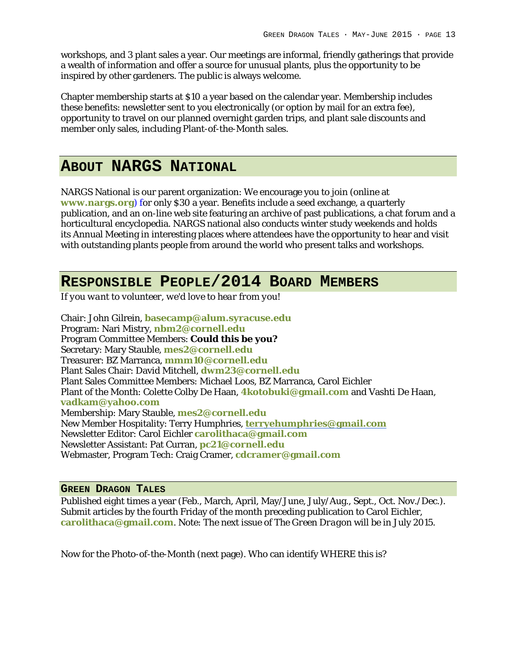workshops, and 3 plant sales a year. Our meetings are informal, friendly gatherings that provide a wealth of information and offer a source for unusual plants, plus the opportunity to be inspired by other gardeners. The public is always welcome.

Chapter membership starts at \$10 a year based on the calendar year. Membership includes these benefits: newsletter sent to you electronically (or option by mail for an extra fee), opportunity to travel on our planned overnight garden trips, and plant sale discounts and member only sales, including Plant-of-the-Month sales.

### **ABOUT NARGS NATIONAL**

NARGS National is our parent organization: We encourage you to join (online at **www.nargs.org**) for only \$30 a year. Benefits include a seed exchange, a quarterly publication, and an on-line web site featuring an archive of past publications, a chat forum and a horticultural encyclopedia. NARGS national also conducts winter study weekends and holds its Annual Meeting in interesting places where attendees have the opportunity to hear and visit with outstanding plants people from around the world who present talks and workshops.

### **RESPONSIBLE PEOPLE/2014 BOARD MEMBERS**

*If you want to volunteer, we'd love to hear from you!*

Chair: John Gilrein, **basecamp@alum.syracuse.edu** Program: Nari Mistry, **nbm2@cornell.edu** Program Committee Members: **Could this be you?** Secretary: Mary Stauble, **mes2@cornell.edu** Treasurer: BZ Marranca, **mmm10@cornell.edu** Plant Sales Chair: David Mitchell, **dwm23@cornell.edu** Plant Sales Committee Members: Michael Loos, BZ Marranca, Carol Eichler Plant of the Month: Colette Colby De Haan, **4kotobuki@gmail.com** and Vashti De Haan, **vadkam@yahoo.com** Membership: Mary Stauble, **mes2@cornell.edu** New Member Hospitality: Terry Humphries, **terryehumphries@gmail.com** Newsletter Editor: Carol Eichler **carolithaca@gmail.com** Newsletter Assistant: Pat Curran, **pc21@cornell.edu** Webmaster, Program Tech: Craig Cramer, **cdcramer@gmail.com**

#### **GREEN DRAGON TALES**

Published eight times a year (Feb., March, April, May/June, July/Aug., Sept., Oct. Nov./Dec.). Submit articles by the fourth Friday of the month preceding publication to Carol Eichler, **carolithaca@gmail.com**. Note: The next issue of *The Green Dragon* will be in July 2015.

Now for the Photo-of-the-Month (next page). Who can identify WHERE this is?